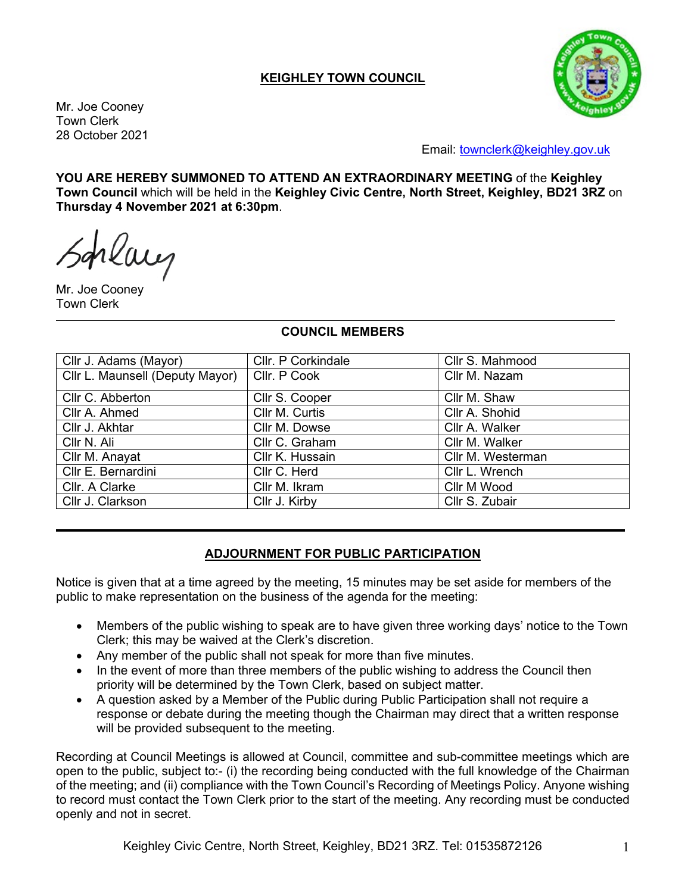# **KEIGHLEY TOWN COUNCIL**

Mr. Joe Cooney Town Clerk 28 October 2021



Email: [townclerk@keighley.gov.uk](mailto:townclerk@keighley.gov.uk)

**YOU ARE HEREBY SUMMONED TO ATTEND AN EXTRAORDINARY MEETING** of the **Keighley Town Council** which will be held in the **Keighley Civic Centre, North Street, Keighley, BD21 3RZ** on **Thursday 4 November 2021 at 6:30pm**.

rlaug

Mr. Joe Cooney Town Clerk

#### **COUNCIL MEMBERS**

| Cllr J. Adams (Mayor)           | Cllr. P Corkindale | Cllr S. Mahmood   |
|---------------------------------|--------------------|-------------------|
| Cllr L. Maunsell (Deputy Mayor) | Cllr. P Cook       | Cllr M. Nazam     |
| Cllr C. Abberton                | Cllr S. Cooper     | Cllr M. Shaw      |
| Cllr A. Ahmed                   | Cllr M. Curtis     | Cllr A. Shohid    |
| Cllr J. Akhtar                  | Cllr M. Dowse      | Cllr A. Walker    |
| Cllr N. Ali                     | Cllr C. Graham     | Cllr M. Walker    |
| Cllr M. Anayat                  | Cllr K. Hussain    | Cllr M. Westerman |
| Cllr E. Bernardini              | Cllr C. Herd       | Cllr L. Wrench    |
| Cllr. A Clarke                  | Cllr M. Ikram      | Cllr M Wood       |
| Cllr J. Clarkson                | Cllr J. Kirby      | Cllr S. Zubair    |

#### **ADJOURNMENT FOR PUBLIC PARTICIPATION**

Notice is given that at a time agreed by the meeting, 15 minutes may be set aside for members of the public to make representation on the business of the agenda for the meeting:

- Members of the public wishing to speak are to have given three working days' notice to the Town Clerk; this may be waived at the Clerk's discretion.
- Any member of the public shall not speak for more than five minutes.
- In the event of more than three members of the public wishing to address the Council then priority will be determined by the Town Clerk, based on subject matter.
- A question asked by a Member of the Public during Public Participation shall not require a response or debate during the meeting though the Chairman may direct that a written response will be provided subsequent to the meeting.

Recording at Council Meetings is allowed at Council, committee and sub-committee meetings which are open to the public, subject to:- (i) the recording being conducted with the full knowledge of the Chairman of the meeting; and (ii) compliance with the Town Council's Recording of Meetings Policy. Anyone wishing to record must contact the Town Clerk prior to the start of the meeting. Any recording must be conducted openly and not in secret.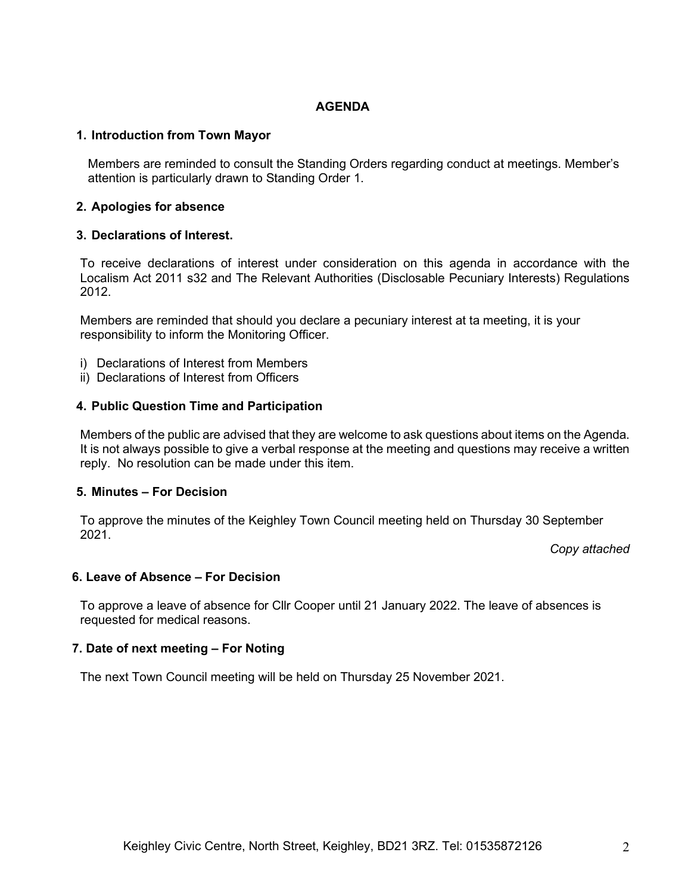## **AGENDA**

## **1. Introduction from Town Mayor**

Members are reminded to consult the Standing Orders regarding conduct at meetings. Member's attention is particularly drawn to Standing Order 1.

## **2. Apologies for absence**

### **3. Declarations of Interest.**

To receive declarations of interest under consideration on this agenda in accordance with the Localism Act 2011 s32 and The Relevant Authorities (Disclosable Pecuniary Interests) Regulations 2012.

Members are reminded that should you declare a pecuniary interest at ta meeting, it is your responsibility to inform the Monitoring Officer.

- i) Declarations of Interest from Members
- ii) Declarations of Interest from Officers

### **4. Public Question Time and Participation**

Members of the public are advised that they are welcome to ask questions about items on the Agenda. It is not always possible to give a verbal response at the meeting and questions may receive a written reply. No resolution can be made under this item.

#### **5. Minutes – For Decision**

To approve the minutes of the Keighley Town Council meeting held on Thursday 30 September 2021.

*Copy attached*

# **6. Leave of Absence – For Decision**

To approve a leave of absence for Cllr Cooper until 21 January 2022. The leave of absences is requested for medical reasons.

## **7. Date of next meeting – For Noting**

The next Town Council meeting will be held on Thursday 25 November 2021.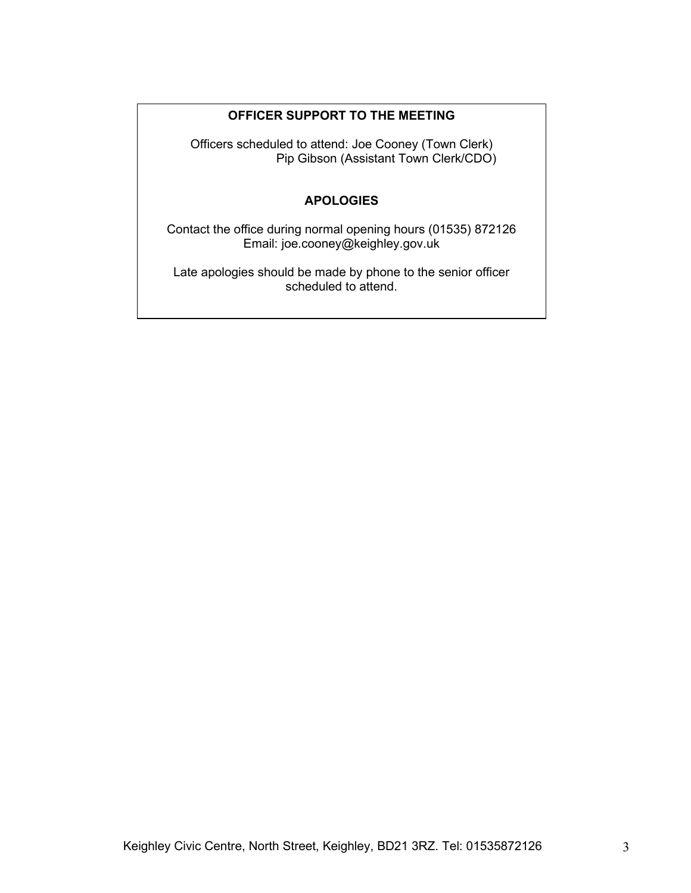# **OFFICER SUPPORT TO THE MEETING**

Officers scheduled to attend: Joe Cooney (Town Clerk) Pip Gibson (Assistant Town Clerk/CDO)

# **APOLOGIES**

Contact the office during normal opening hours (01535) 872126 Email: joe.cooney@keighley.gov.uk

Late apologies should be made by phone to the senior officer scheduled to attend.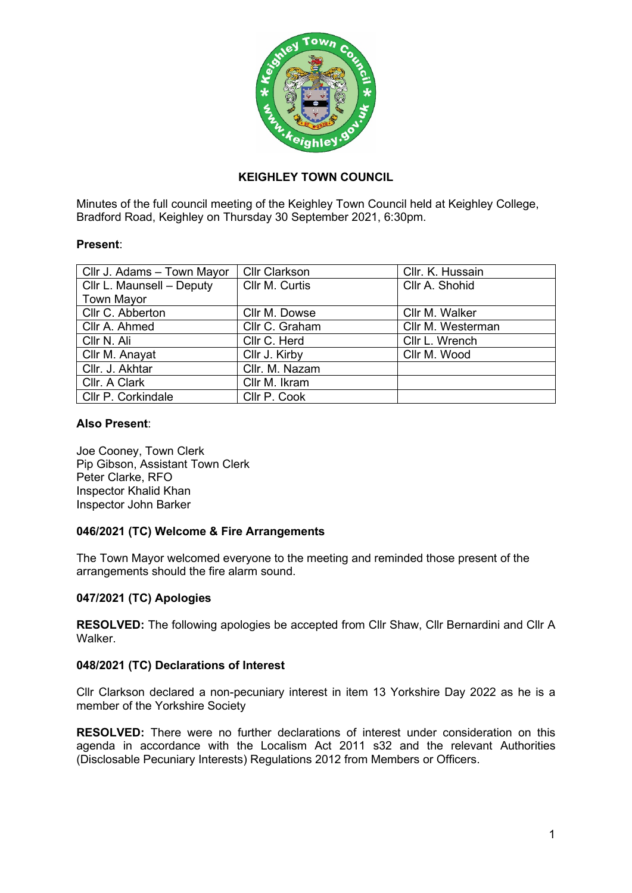

# **KEIGHLEY TOWN COUNCIL**

Minutes of the full council meeting of the Keighley Town Council held at Keighley College, Bradford Road, Keighley on Thursday 30 September 2021, 6:30pm.

### **Present**:

| Cllr J. Adams - Town Mayor | <b>Cllr Clarkson</b> | Cllr. K. Hussain  |
|----------------------------|----------------------|-------------------|
| Cllr L. Maunsell - Deputy  | Cllr M. Curtis       | Cllr A. Shohid    |
| <b>Town Mayor</b>          |                      |                   |
| Cllr C. Abberton           | Cllr M. Dowse        | Cllr M. Walker    |
| Cllr A. Ahmed              | Cllr C. Graham       | Cllr M. Westerman |
| Cllr N. Ali                | Cllr C. Herd         | Cllr L. Wrench    |
| Cllr M. Anayat             | Cllr J. Kirby        | Cllr M. Wood      |
| Cllr. J. Akhtar            | Cllr. M. Nazam       |                   |
| Cllr. A Clark              | Cllr M. Ikram        |                   |
| Cllr P. Corkindale         | Cllr P. Cook         |                   |

### **Also Present**:

Joe Cooney, Town Clerk Pip Gibson, Assistant Town Clerk Peter Clarke, RFO Inspector Khalid Khan Inspector John Barker

## **046/2021 (TC) Welcome & Fire Arrangements**

The Town Mayor welcomed everyone to the meeting and reminded those present of the arrangements should the fire alarm sound.

## **047/2021 (TC) Apologies**

**RESOLVED:** The following apologies be accepted from Cllr Shaw, Cllr Bernardini and Cllr A Walker.

## **048/2021 (TC) Declarations of Interest**

Cllr Clarkson declared a non-pecuniary interest in item 13 Yorkshire Day 2022 as he is a member of the Yorkshire Society

**RESOLVED:** There were no further declarations of interest under consideration on this agenda in accordance with the Localism Act 2011 s32 and the relevant Authorities (Disclosable Pecuniary Interests) Regulations 2012 from Members or Officers.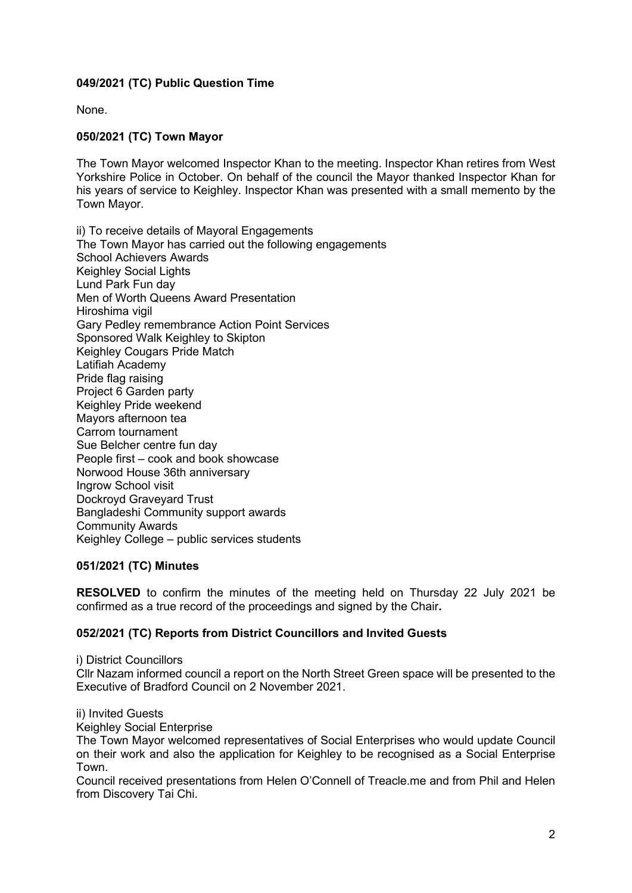# **049/2021 (TC) Public Question Time**

None.

# **050/2021 (TC) Town Mayor**

The Town Mayor welcomed Inspector Khan to the meeting. Inspector Khan retires from West Yorkshire Police in October. On behalf of the council the Mayor thanked Inspector Khan for his years of service to Keighley. Inspector Khan was presented with a small memento by the Town Mayor.

ii) To receive details of Mayoral Engagements The Town Mayor has carried out the following engagements School Achievers Awards Keighley Social Lights Lund Park Fun day Men of Worth Queens Award Presentation Hiroshima vigil Gary Pedley remembrance Action Point Services Sponsored Walk Keighley to Skipton Keighley Cougars Pride Match Latifiah Academy Pride flag raising Project 6 Garden party Keighley Pride weekend Mayors afternoon tea Carrom tournament Sue Belcher centre fun day People first – cook and book showcase Norwood House 36th anniversary Ingrow School visit Dockroyd Graveyard Trust Bangladeshi Community support awards Community Awards Keighley College – public services students

## **051/2021 (TC) Minutes**

**RESOLVED** to confirm the minutes of the meeting held on Thursday 22 July 2021 be confirmed as a true record of the proceedings and signed by the Chair**.**

## **052/2021 (TC) Reports from District Councillors and Invited Guests**

i) District Councillors

Cllr Nazam informed council a report on the North Street Green space will be presented to the Executive of Bradford Council on 2 November 2021.

ii) Invited Guests

Keighley Social Enterprise

The Town Mayor welcomed representatives of Social Enterprises who would update Council on their work and also the application for Keighley to be recognised as a Social Enterprise Town.

Council received presentations from Helen O'Connell of Treacle.me and from Phil and Helen from Discovery Tai Chi.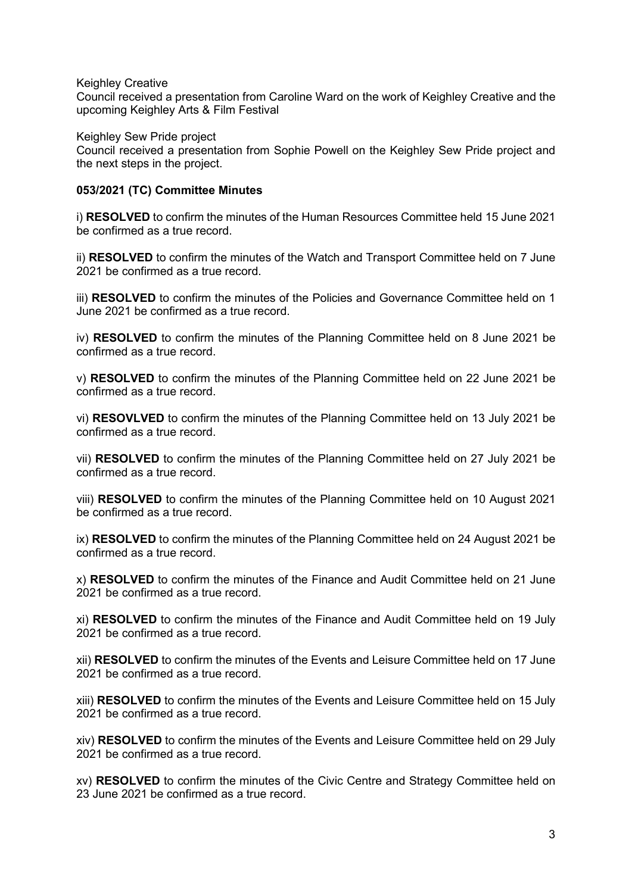Keighley Creative

Council received a presentation from Caroline Ward on the work of Keighley Creative and the upcoming Keighley Arts & Film Festival

Keighley Sew Pride project

Council received a presentation from Sophie Powell on the Keighley Sew Pride project and the next steps in the project.

## **053/2021 (TC) Committee Minutes**

i) **RESOLVED** to confirm the minutes of the Human Resources Committee held 15 June 2021 be confirmed as a true record.

ii) **RESOLVED** to confirm the minutes of the Watch and Transport Committee held on 7 June 2021 be confirmed as a true record.

iii) **RESOLVED** to confirm the minutes of the Policies and Governance Committee held on 1 June 2021 be confirmed as a true record.

iv) **RESOLVED** to confirm the minutes of the Planning Committee held on 8 June 2021 be confirmed as a true record.

v) **RESOLVED** to confirm the minutes of the Planning Committee held on 22 June 2021 be confirmed as a true record.

vi) **RESOVLVED** to confirm the minutes of the Planning Committee held on 13 July 2021 be confirmed as a true record.

vii) **RESOLVED** to confirm the minutes of the Planning Committee held on 27 July 2021 be confirmed as a true record.

viii) **RESOLVED** to confirm the minutes of the Planning Committee held on 10 August 2021 be confirmed as a true record.

ix) **RESOLVED** to confirm the minutes of the Planning Committee held on 24 August 2021 be confirmed as a true record.

x) **RESOLVED** to confirm the minutes of the Finance and Audit Committee held on 21 June 2021 be confirmed as a true record.

xi) **RESOLVED** to confirm the minutes of the Finance and Audit Committee held on 19 July 2021 be confirmed as a true record.

xii) **RESOLVED** to confirm the minutes of the Events and Leisure Committee held on 17 June 2021 be confirmed as a true record.

xiii) **RESOLVED** to confirm the minutes of the Events and Leisure Committee held on 15 July 2021 be confirmed as a true record.

xiv) **RESOLVED** to confirm the minutes of the Events and Leisure Committee held on 29 July 2021 be confirmed as a true record.

xv) **RESOLVED** to confirm the minutes of the Civic Centre and Strategy Committee held on 23 June 2021 be confirmed as a true record.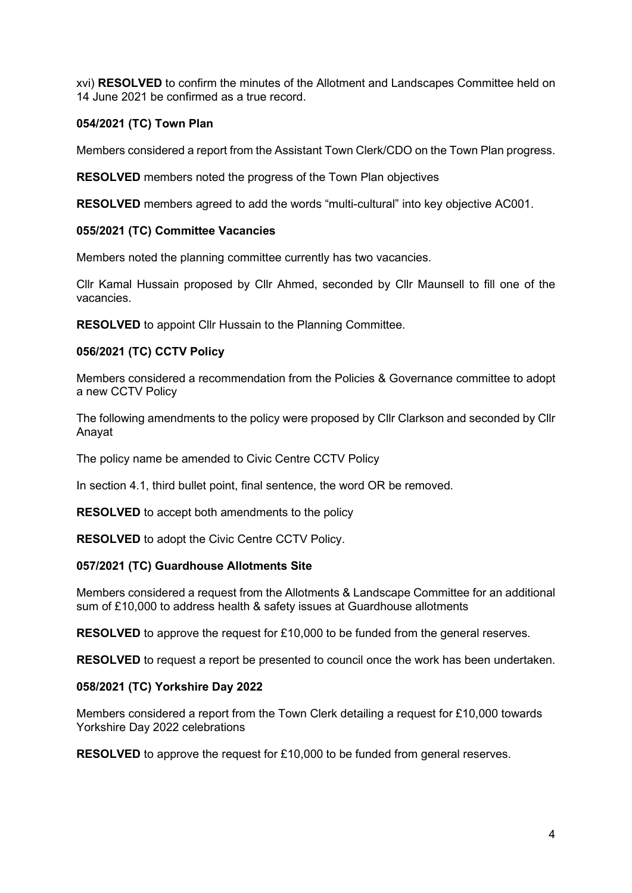xvi) **RESOLVED** to confirm the minutes of the Allotment and Landscapes Committee held on 14 June 2021 be confirmed as a true record.

# **054/2021 (TC) Town Plan**

Members considered a report from the Assistant Town Clerk/CDO on the Town Plan progress.

**RESOLVED** members noted the progress of the Town Plan objectives

**RESOLVED** members agreed to add the words "multi-cultural" into key objective AC001.

## **055/2021 (TC) Committee Vacancies**

Members noted the planning committee currently has two vacancies.

Cllr Kamal Hussain proposed by Cllr Ahmed, seconded by Cllr Maunsell to fill one of the vacancies.

**RESOLVED** to appoint Cllr Hussain to the Planning Committee.

## **056/2021 (TC) CCTV Policy**

Members considered a recommendation from the Policies & Governance committee to adopt a new CCTV Policy

The following amendments to the policy were proposed by Cllr Clarkson and seconded by Cllr Anayat

The policy name be amended to Civic Centre CCTV Policy

In section 4.1, third bullet point, final sentence, the word OR be removed.

**RESOLVED** to accept both amendments to the policy

**RESOLVED** to adopt the Civic Centre CCTV Policy.

## **057/2021 (TC) Guardhouse Allotments Site**

Members considered a request from the Allotments & Landscape Committee for an additional sum of £10,000 to address health & safety issues at Guardhouse allotments

**RESOLVED** to approve the request for £10,000 to be funded from the general reserves.

**RESOLVED** to request a report be presented to council once the work has been undertaken.

## **058/2021 (TC) Yorkshire Day 2022**

Members considered a report from the Town Clerk detailing a request for £10,000 towards Yorkshire Day 2022 celebrations

**RESOLVED** to approve the request for £10,000 to be funded from general reserves.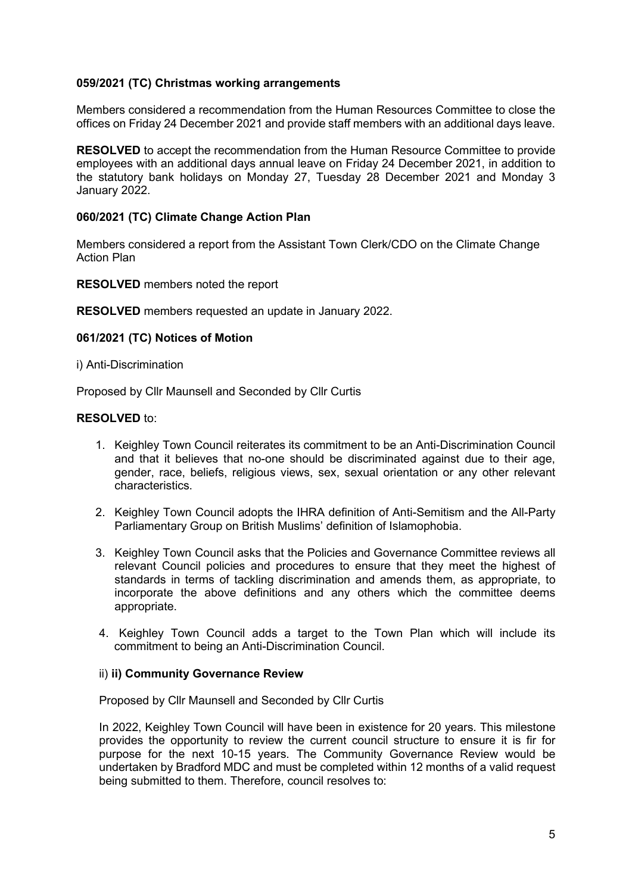## **059/2021 (TC) Christmas working arrangements**

Members considered a recommendation from the Human Resources Committee to close the offices on Friday 24 December 2021 and provide staff members with an additional days leave.

**RESOLVED** to accept the recommendation from the Human Resource Committee to provide employees with an additional days annual leave on Friday 24 December 2021, in addition to the statutory bank holidays on Monday 27, Tuesday 28 December 2021 and Monday 3 January 2022.

### **060/2021 (TC) Climate Change Action Plan**

Members considered a report from the Assistant Town Clerk/CDO on the Climate Change Action Plan

**RESOLVED** members noted the report

**RESOLVED** members requested an update in January 2022.

#### **061/2021 (TC) Notices of Motion**

i) Anti-Discrimination

Proposed by Cllr Maunsell and Seconded by Cllr Curtis

#### **RESOLVED** to:

- 1. Keighley Town Council reiterates its commitment to be an Anti-Discrimination Council and that it believes that no-one should be discriminated against due to their age, gender, race, beliefs, religious views, sex, sexual orientation or any other relevant characteristics.
- 2. Keighley Town Council adopts the IHRA definition of Anti-Semitism and the All-Party Parliamentary Group on British Muslims' definition of Islamophobia.
- 3. Keighley Town Council asks that the Policies and Governance Committee reviews all relevant Council policies and procedures to ensure that they meet the highest of standards in terms of tackling discrimination and amends them, as appropriate, to incorporate the above definitions and any others which the committee deems appropriate.
- 4. Keighley Town Council adds a target to the Town Plan which will include its commitment to being an Anti-Discrimination Council.

#### ii) **ii) Community Governance Review**

Proposed by Cllr Maunsell and Seconded by Cllr Curtis

In 2022, Keighley Town Council will have been in existence for 20 years. This milestone provides the opportunity to review the current council structure to ensure it is fir for purpose for the next 10-15 years. The Community Governance Review would be undertaken by Bradford MDC and must be completed within 12 months of a valid request being submitted to them. Therefore, council resolves to: